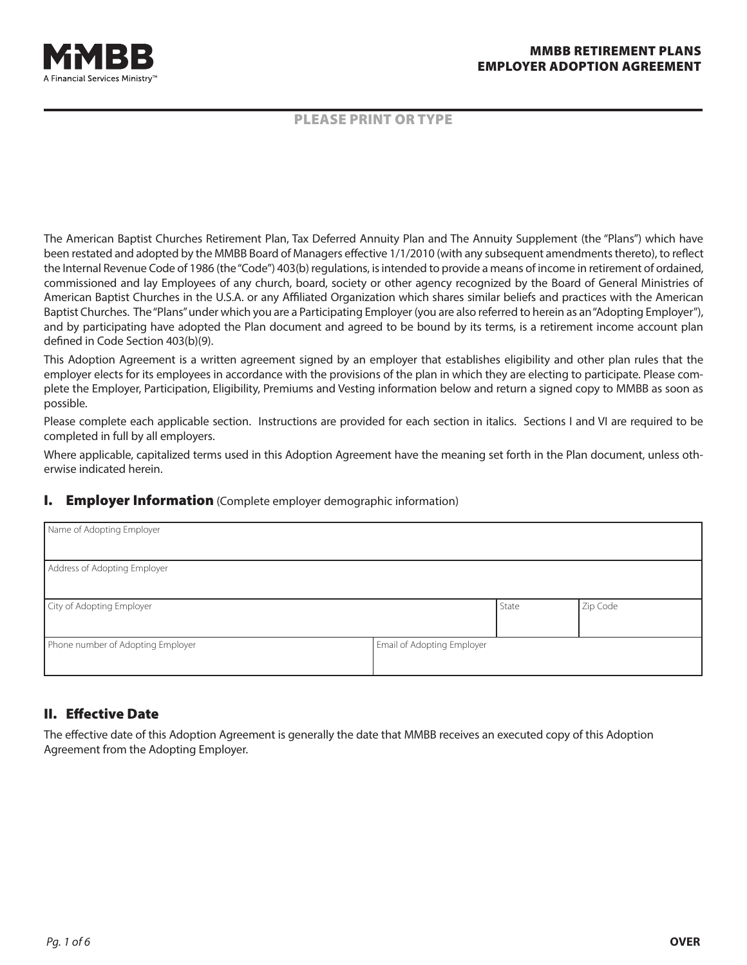



#### PLEASE PRINT OR TYPE

The American Baptist Churches Retirement Plan, Tax Deferred Annuity Plan and The Annuity Supplement (the "Plans") which have been restated and adopted by the MMBB Board of Managers effective 1/1/2010 (with any subsequent amendments thereto), to reflect the Internal Revenue Code of 1986 (the"Code") 403(b) regulations, isintended to provide a means of income in retirement of ordained, commissioned and lay Employees of any church, board, society or other agency recognized by the Board of General Ministries of American Baptist Churches in the U.S.A. or any Affiliated Organization which shares similar beliefs and practices with the American Baptist Churches. The "Plans" under which you are a Participating Employer (you are also referred to herein as an "Adopting Employer"), and by participating have adopted the Plan document and agreed to be bound by its terms, is a retirement income account plan defined in Code Section 403(b)(9).

This Adoption Agreement is a written agreement signed by an employer that establishes eligibility and other plan rules that the employer elects for its employees in accordance with the provisions of the plan in which they are electing to participate. Please complete the Employer, Participation, Eligibility, Premiums and Vesting information below and return a signed copy to MMBB as soon as possible.

Please complete each applicable section. Instructions are provided for each section in italics. Sections I and VI are required to be completed in full by all employers.

Where applicable, capitalized terms used in this Adoption Agreement have the meaning set forth in the Plan document, unless otherwise indicated herein.

#### **I.** Employer Information (Complete employer demographic information)

| Name of Adopting Employer         |                            |       |          |
|-----------------------------------|----------------------------|-------|----------|
| Address of Adopting Employer      |                            |       |          |
| City of Adopting Employer         |                            | State | Zip Code |
| Phone number of Adopting Employer | Email of Adopting Employer |       |          |

## **II. Effective Date**

The effective date of this Adoption Agreement is generally the date that MMBB receives an executed copy of this Adoption Agreement from the Adopting Employer.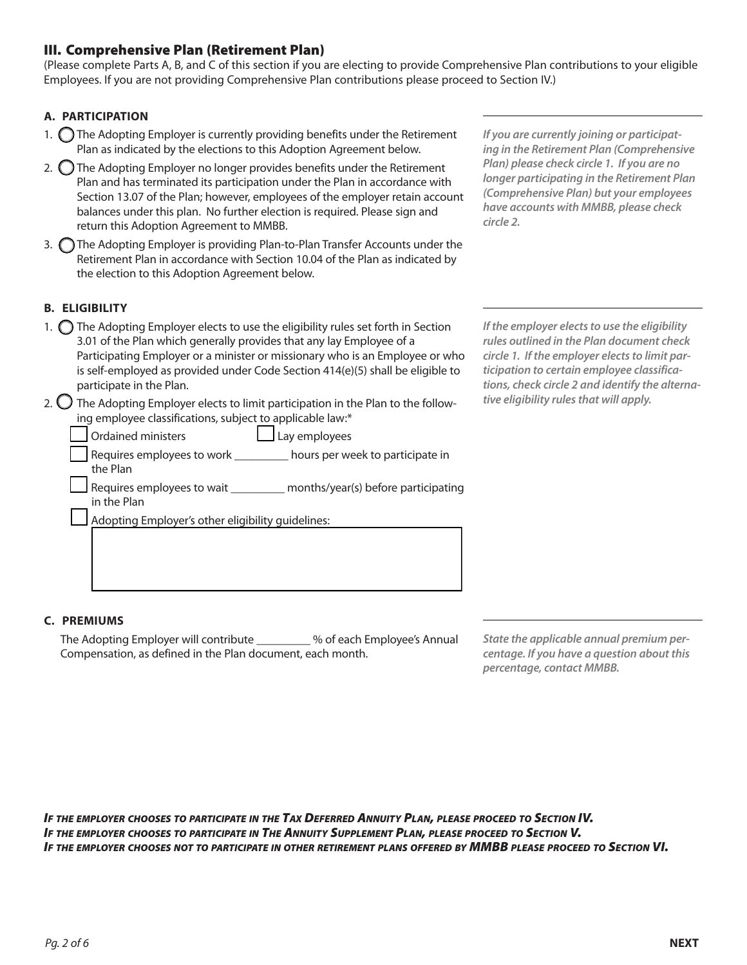## III. Comprehensive Plan (Retirement Plan)

(Please complete Parts A, B, and C of this section if you are electing to provide Comprehensive Plan contributions to your eligible Employees. If you are not providing Comprehensive Plan contributions please proceed to Section IV.)

#### **A. PARTICIPATION**

- 1.  $\bigcap$  The Adopting Employer is currently providing benefits under the Retirement Plan as indicated by the elections to this Adoption Agreement below.
- 2.  $\bigcirc$  The Adopting Employer no longer provides benefits under the Retirement Plan and has terminated its participation under the Plan in accordance with Section 13.07 of the Plan; however, employees of the employer retain account balances under this plan. No further election is required. Please sign and return this Adoption Agreement to MMBB.
- 3. The Adopting Employer is providing Plan-to-Plan Transfer Accounts under the Retirement Plan in accordance with Section 10.04 of the Plan as indicated by the election to this Adoption Agreement below.

**B. ELIGIBILITY** 

- 1.  $\bigcirc$  The Adopting Employer elects to use the eligibility rules set forth in Section 3.01 of the Plan which generally provides that any lay Employee of a Participating Employer or a minister or missionary who is an Employee or who is self-employed as provided under Code Section 414(e)(5) shall be eligible to participate in the Plan.
- 2.  $\bigcirc$  The Adopting Employer elects to limit participation in the Plan to the following employee classifications, subject to applicable law:\*
	- Ordained ministers **Lay employees** Requires employees to work \_\_\_\_\_\_\_\_\_ hours per week to participate in the Plan Requires employees to wait \_\_\_\_\_\_\_\_\_\_ months/year(s) before participating in the Plan Adopting Employer's other eligibility guidelines:  $\mathcal{L}_\text{max} = \mathcal{L}_\text{max} = \mathcal{L}_\text{max} = \mathcal{L}_\text{max} = \mathcal{L}_\text{max} = \mathcal{L}_\text{max} = \mathcal{L}_\text{max} = \mathcal{L}_\text{max} = \mathcal{L}_\text{max} = \mathcal{L}_\text{max} = \mathcal{L}_\text{max} = \mathcal{L}_\text{max} = \mathcal{L}_\text{max} = \mathcal{L}_\text{max} = \mathcal{L}_\text{max} = \mathcal{L}_\text{max} = \mathcal{L}_\text{max} = \mathcal{L}_\text{max} = \mathcal{$

 $\mathcal{L}_\text{max} = \mathcal{L}_\text{max} = \mathcal{L}_\text{max} = \mathcal{L}_\text{max} = \mathcal{L}_\text{max} = \mathcal{L}_\text{max} = \mathcal{L}_\text{max} = \mathcal{L}_\text{max} = \mathcal{L}_\text{max} = \mathcal{L}_\text{max} = \mathcal{L}_\text{max} = \mathcal{L}_\text{max} = \mathcal{L}_\text{max} = \mathcal{L}_\text{max} = \mathcal{L}_\text{max} = \mathcal{L}_\text{max} = \mathcal{L}_\text{max} = \mathcal{L}_\text{max} = \mathcal{$  $\mathcal{L}_\text{max} = \mathcal{L}_\text{max} = \mathcal{L}_\text{max} = \mathcal{L}_\text{max} = \mathcal{L}_\text{max} = \mathcal{L}_\text{max} = \mathcal{L}_\text{max} = \mathcal{L}_\text{max} = \mathcal{L}_\text{max} = \mathcal{L}_\text{max} = \mathcal{L}_\text{max} = \mathcal{L}_\text{max} = \mathcal{L}_\text{max} = \mathcal{L}_\text{max} = \mathcal{L}_\text{max} = \mathcal{L}_\text{max} = \mathcal{L}_\text{max} = \mathcal{L}_\text{max} = \mathcal{$  *If you are currently joining or participating in the Retirement Plan (Comprehensive Plan) please check circle 1. If you are no longer participating in the Retirement Plan (Comprehensive Plan) but your employees have accounts with MMBB, please check circle 2.*

*If the employer elects to use the eligibility rules outlined in the Plan document check circle 1. If the employer elects to limit participation to certain employee classifications, check circle 2 and identify the alternative eligibility rules that will apply.*

#### **C. PREMIUMS**

The Adopting Employer will contribute \_\_\_\_\_\_\_\_\_ % of each Employee's Annual Compensation, as defined in the Plan document, each month.

*State the applicable annual premium percentage. If you have a question about this percentage, contact MMBB.*

*If the employer chooses to participate in the Tax Deferred Annuity Plan, please proceed to Section IV. If the employer chooses to participate in The Annuity Supplement Plan, please proceed to Section V.* IF THE EMPLOYER CHOOSES NOT TO PARTICIPATE IN OTHER RETIREMENT PLANS OFFERED BY MMBB PLEASE PROCEED TO SECTION VI.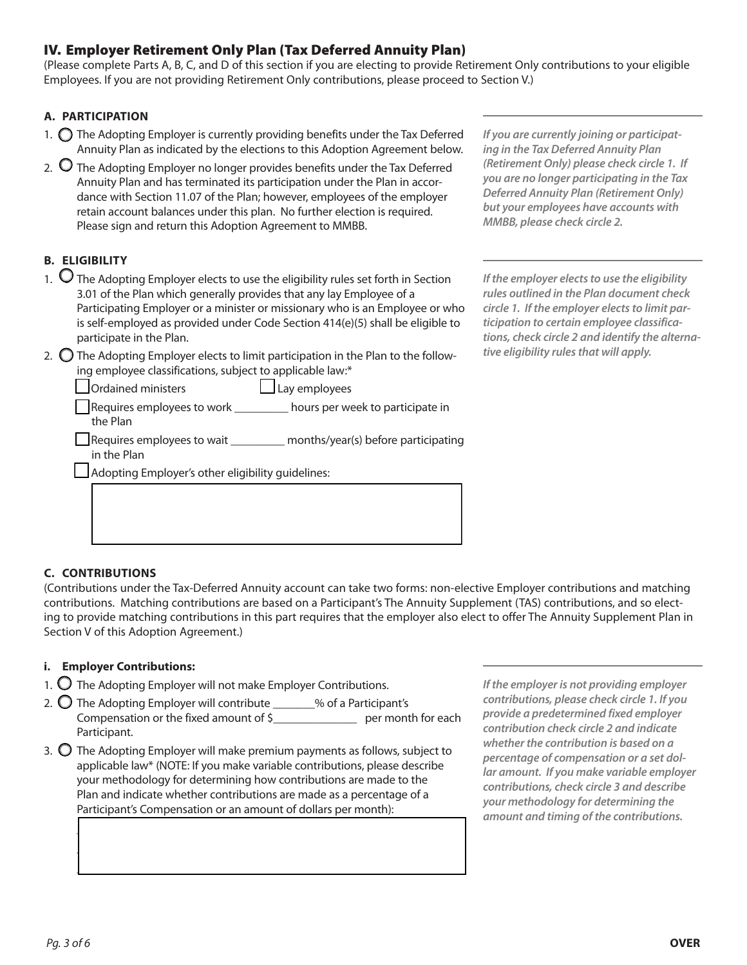# IV. Employer Retirement Only Plan (Tax Deferred Annuity Plan)

(Please complete Parts A, B, C, and D of this section if you are electing to provide Retirement Only contributions to your eligible Employees. If you are not providing Retirement Only contributions, please proceed to Section V.)

## **A. PARTICIPATION**

- 1.  $\bigcirc$  The Adopting Employer is currently providing benefits under the Tax Deferred Annuity Plan as indicated by the elections to this Adoption Agreement below.
- 2.  $\bigcirc$  The Adopting Employer no longer provides benefits under the Tax Deferred Annuity Plan and has terminated its participation under the Plan in accordance with Section 11.07 of the Plan; however, employees of the employer retain account balances under this plan. No further election is required. Please sign and return this Adoption Agreement to MMBB.

## **B. ELIGIBILITY**

- 1.  $\Omega$  The Adopting Employer elects to use the eligibility rules set forth in Section 3.01 of the Plan which generally provides that any lay Employee of a Participating Employer or a minister or missionary who is an Employee or who is self-employed as provided under Code Section 414(e)(5) shall be eligible to participate in the Plan.
- 2.  $\bigcirc$  The Adopting Employer elects to limit participation in the Plan to the following employee classifications, subject to applicable law:\*

*If you are currently joining or participating in the Tax Deferred Annuity Plan (Retirement Only) please check circle 1. If you are no longer participating in the Tax Deferred Annuity Plan (Retirement Only) but your employees have accounts with MMBB, please check circle 2.*

*If the employer elects to use the eligibility rules outlined in the Plan document check circle 1. If the employer elects to limit participation to certain employee classifications, check circle 2 and identify the alternative eligibility rules that will apply.*

 $\Box$  Ordained ministers  $\Box$  Lay employees m Requires employees to work \_\_\_\_\_\_\_\_\_ hours per week to participate in the Plan

 $\Box$  Requires employees to wait months/year(s) before participating in the Plan

 $\mathcal{L}_\text{max} = \mathcal{L}_\text{max} = \mathcal{L}_\text{max} = \mathcal{L}_\text{max} = \mathcal{L}_\text{max} = \mathcal{L}_\text{max} = \mathcal{L}_\text{max} = \mathcal{L}_\text{max} = \mathcal{L}_\text{max} = \mathcal{L}_\text{max} = \mathcal{L}_\text{max} = \mathcal{L}_\text{max} = \mathcal{L}_\text{max} = \mathcal{L}_\text{max} = \mathcal{L}_\text{max} = \mathcal{L}_\text{max} = \mathcal{L}_\text{max} = \mathcal{L}_\text{max} = \mathcal{$  $\mathcal{L}_\text{max} = \mathcal{L}_\text{max} = \mathcal{L}_\text{max} = \mathcal{L}_\text{max} = \mathcal{L}_\text{max} = \mathcal{L}_\text{max} = \mathcal{L}_\text{max} = \mathcal{L}_\text{max} = \mathcal{L}_\text{max} = \mathcal{L}_\text{max} = \mathcal{L}_\text{max} = \mathcal{L}_\text{max} = \mathcal{L}_\text{max} = \mathcal{L}_\text{max} = \mathcal{L}_\text{max} = \mathcal{L}_\text{max} = \mathcal{L}_\text{max} = \mathcal{L}_\text{max} = \mathcal{$  $\mathcal{L}_\text{max}$  and  $\mathcal{L}_\text{max}$  and  $\mathcal{L}_\text{max}$  and  $\mathcal{L}_\text{max}$  and  $\mathcal{L}_\text{max}$  and  $\mathcal{L}_\text{max}$ 

Adopting Employer's other eligibility guidelines:

## **C. CONTRIBUTIONS**

(Contributions under the Tax-Deferred Annuity account can take two forms: non-elective Employer contributions and matching contributions. Matching contributions are based on a Participant's The Annuity Supplement (TAS) contributions, and so electing to provide matching contributions in this part requires that the employer also elect to offer The Annuity Supplement Plan in Section V of this Adoption Agreement.)

## **i. Employer Contributions:**

- 1.  $\bigcirc$  The Adopting Employer will not make Employer Contributions.
- 2.  $\bigcirc$  The Adopting Employer will contribute \_\_\_\_\_\_% of a Participant's Compensation or the fixed amount of \$\_\_\_\_\_\_\_\_\_\_\_\_\_\_\_\_\_\_\_ per month for each Participant.
- 3.  $\bigcirc$  The Adopting Employer will make premium payments as follows, subject to applicable law\* (NOTE: If you make variable contributions, please describe your methodology for determining how contributions are made to the Plan and indicate whether contributions are made as a percentage of a Participant's Compensation or an amount of dollars per month):

 $\Box$  $\Box$  $\mathcal{L}_\text{max} = \mathcal{L}_\text{max} = \mathcal{L}_\text{max} = \mathcal{L}_\text{max} = \mathcal{L}_\text{max} = \mathcal{L}_\text{max} = \mathcal{L}_\text{max} = \mathcal{L}_\text{max} = \mathcal{L}_\text{max} = \mathcal{L}_\text{max} = \mathcal{L}_\text{max} = \mathcal{L}_\text{max} = \mathcal{L}_\text{max} = \mathcal{L}_\text{max} = \mathcal{L}_\text{max} = \mathcal{L}_\text{max} = \mathcal{L}_\text{max} = \mathcal{L}_\text{max} = \mathcal{$  *If the employer is not providing employer contributions, please check circle 1. If you provide a predetermined fixed employer contribution check circle 2 and indicate whether the contribution is based on a percentage of compensation or a set dollar amount. If you make variable employer contributions, check circle 3 and describe your methodology for determining the amount and timing of the contributions.*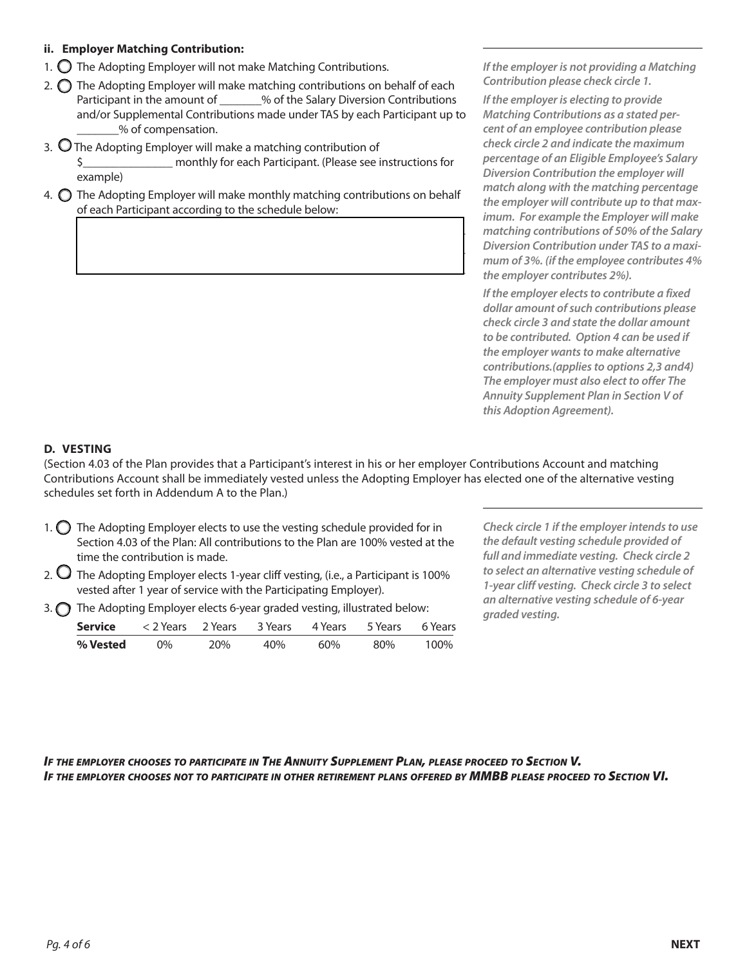#### **ii. Employer Matching Contribution:**

- 1.  $\bigcirc$  The Adopting Employer will not make Matching Contributions.
- 2.  $\bigcirc$  The Adopting Employer will make matching contributions on behalf of each Participant in the amount of \_\_\_\_\_\_\_% of the Salary Diversion Contributions and/or Supplemental Contributions made under TAS by each Participant up to \_\_\_\_\_\_\_% of compensation.
- 3.  $\bigcirc$  The Adopting Employer will make a matching contribution of \$\_\_\_\_\_\_\_\_\_\_\_\_\_\_\_ monthly for each Participant. (Please see instructions for example)
- 4.  $\bigcirc$  The Adopting Employer will make monthly matching contributions on behalf of each Participant according to the schedule below:

 $\Box$  , and the contract of the contract of the contract of the contract of  $\Box$  $\Box$  , and the contract of the contract of the contract of the contract of  $\Box$  $\mathcal{L}_\text{max}$  and  $\mathcal{L}_\text{max}$  and  $\mathcal{L}_\text{max}$  and  $\mathcal{L}_\text{max}$  and  $\mathcal{L}_\text{max}$  *If the employer is not providing a Matching Contribution please check circle 1.* 

*If the employer is electing to provide Matching Contributions as a stated percent of an employee contribution please check circle 2 and indicate the maximum percentage of an Eligible Employee's Salary Diversion Contribution the employer will match along with the matching percentage the employer will contribute up to that maximum. For example the Employer will make matching contributions of 50% of the Salary Diversion Contribution under TAS to a maximum of 3%. (if the employee contributes 4% the employer contributes 2%).*

*If the employer elects to contribute a fixed dollar amount of such contributions please check circle 3 and state the dollar amount to be contributed. Option 4 can be used if the employer wants to make alternative contributions.(applies to options 2,3 and4) The employer must also elect to offer The Annuity Supplement Plan in Section V of this Adoption Agreement).*

## **D. VESTING**

(Section 4.03 of the Plan provides that a Participant's interest in his or her employer Contributions Account and matching Contributions Account shall be immediately vested unless the Adopting Employer has elected one of the alternative vesting schedules set forth in Addendum A to the Plan.)

1.  $\bigcirc$  The Adopting Employer elects to use the vesting schedule provided for in Section 4.03 of the Plan: All contributions to the Plan are 100% vested at the time the contribution is made.

- 2.  $\bigcup$  The Adopting Employer elects 1-year cliff vesting, (i.e., a Participant is 100% vested after 1 year of service with the Participating Employer).
- 3.  $\bigcirc$  The Adopting Employer elects 6-year graded vesting, illustrated below:

| Service  | <2 Years 2 Years 3 Years 4 Years 5 Years 6 Years |     |     |     |     |      |
|----------|--------------------------------------------------|-----|-----|-----|-----|------|
| % Vested | $0\%$                                            | 20% | 40% | 60% | 80% | 100% |

*Check circle 1 if the employer intends to use the default vesting schedule provided of full and immediate vesting. Check circle 2 to select an alternative vesting schedule of 1-year cliff vesting. Check circle 3 to select an alternative vesting schedule of 6-year graded vesting.*

*If the employer chooses to participate in The Annuity Supplement Plan, please proceed to Section V.* IF THE EMPLOYER CHOOSES NOT TO PARTICIPATE IN OTHER RETIREMENT PLANS OFFERED BY MMBB PLEASE PROCEED TO SECTION VI.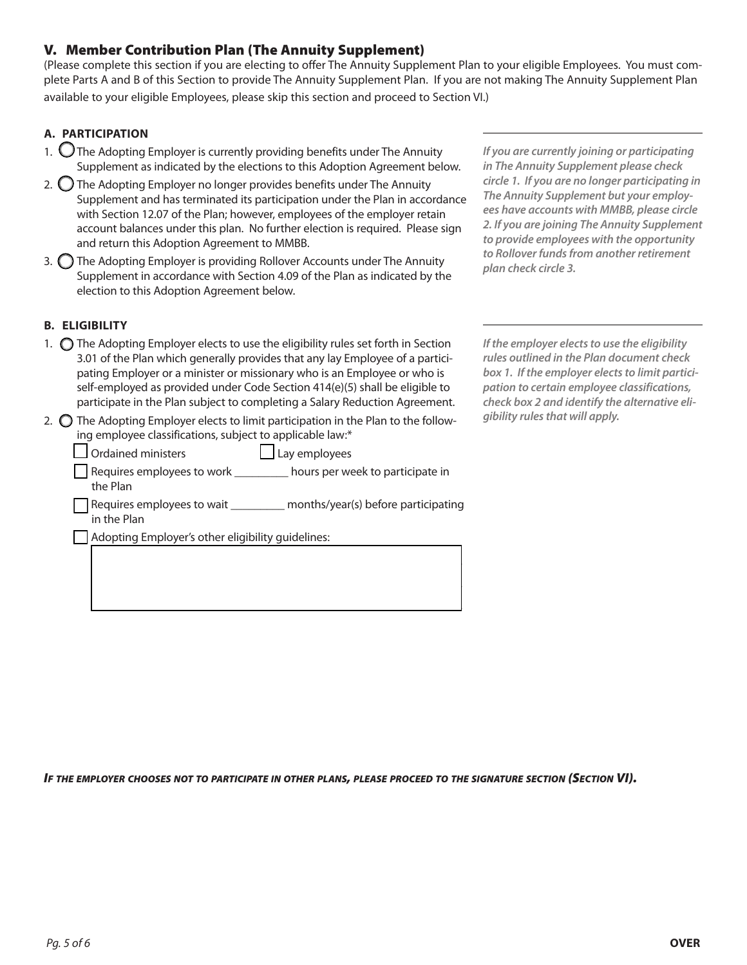# V. Member Contribution Plan (The Annuity Supplement)

(Please complete this section if you are electing to offer The Annuity Supplement Plan to your eligible Employees. You must complete Parts A and B of this Section to provide The Annuity Supplement Plan. If you are not making The Annuity Supplement Plan available to your eligible Employees, please skip this section and proceed to Section VI.)

## **A. PARTICIPATION**

- 1.  $\bigcup$  The Adopting Employer is currently providing benefits under The Annuity Supplement as indicated by the elections to this Adoption Agreement below.
- 2.  $\bigcirc$  The Adopting Employer no longer provides benefits under The Annuity Supplement and has terminated its participation under the Plan in accordance with Section 12.07 of the Plan; however, employees of the employer retain account balances under this plan. No further election is required. Please sign and return this Adoption Agreement to MMBB.
- 3.  $\bigcirc$  The Adopting Employer is providing Rollover Accounts under The Annuity Supplement in accordance with Section 4.09 of the Plan as indicated by the election to this Adoption Agreement below.

## **B. ELIGIBILITY**

- 1.  $\bigcirc$  The Adopting Employer elects to use the eligibility rules set forth in Section 3.01 of the Plan which generally provides that any lay Employee of a participating Employer or a minister or missionary who is an Employee or who is self-employed as provided under Code Section 414(e)(5) shall be eligible to participate in the Plan subject to completing a Salary Reduction Agreement.
- 2.  $\bigcirc$  The Adopting Employer elects to limit participation in the Plan to the following employee classifications, subject to applicable law:\*

**Solution** Ordained ministers **manufactures** Lay employees

m Requires employees to work \_\_\_\_\_\_\_\_\_ hours per week to participate in the Plan

Requires employees to wait \_\_\_\_\_\_\_\_\_\_ months/year(s) before participating in the Plan

 $\mathcal{L}_\text{max} = \mathcal{L}_\text{max} = \mathcal{L}_\text{max} = \mathcal{L}_\text{max} = \mathcal{L}_\text{max} = \mathcal{L}_\text{max} = \mathcal{L}_\text{max} = \mathcal{L}_\text{max} = \mathcal{L}_\text{max} = \mathcal{L}_\text{max} = \mathcal{L}_\text{max} = \mathcal{L}_\text{max} = \mathcal{L}_\text{max} = \mathcal{L}_\text{max} = \mathcal{L}_\text{max} = \mathcal{L}_\text{max} = \mathcal{L}_\text{max} = \mathcal{L}_\text{max} = \mathcal{$  $\mathcal{L}_\text{max} = \mathcal{L}_\text{max} = \mathcal{L}_\text{max} = \mathcal{L}_\text{max} = \mathcal{L}_\text{max} = \mathcal{L}_\text{max} = \mathcal{L}_\text{max} = \mathcal{L}_\text{max} = \mathcal{L}_\text{max} = \mathcal{L}_\text{max} = \mathcal{L}_\text{max} = \mathcal{L}_\text{max} = \mathcal{L}_\text{max} = \mathcal{L}_\text{max} = \mathcal{L}_\text{max} = \mathcal{L}_\text{max} = \mathcal{L}_\text{max} = \mathcal{L}_\text{max} = \mathcal{$  $\mathcal{L}_\text{max} = \mathcal{L}_\text{max} = \mathcal{L}_\text{max} = \mathcal{L}_\text{max} = \mathcal{L}_\text{max} = \mathcal{L}_\text{max} = \mathcal{L}_\text{max} = \mathcal{L}_\text{max} = \mathcal{L}_\text{max} = \mathcal{L}_\text{max} = \mathcal{L}_\text{max} = \mathcal{L}_\text{max} = \mathcal{L}_\text{max} = \mathcal{L}_\text{max} = \mathcal{L}_\text{max} = \mathcal{L}_\text{max} = \mathcal{L}_\text{max} = \mathcal{L}_\text{max} = \mathcal{$ 

Adopting Employer's other eligibility guidelines:

*If you are currently joining or participating in The Annuity Supplement please check circle 1. If you are no longer participating in The Annuity Supplement but your employees have accounts with MMBB, please circle 2. If you are joining The Annuity Supplement to provide employees with the opportunity to Rollover funds from another retirement plan check circle 3.* 

*If the employer elects to use the eligibility rules outlined in the Plan document check box 1. If the employer elects to limit participation to certain employee classifications, check box 2 and identify the alternative eligibility rules that will apply.*

*If the employer chooses not to participate in other plans, please proceed to the signature section (Section VI).*